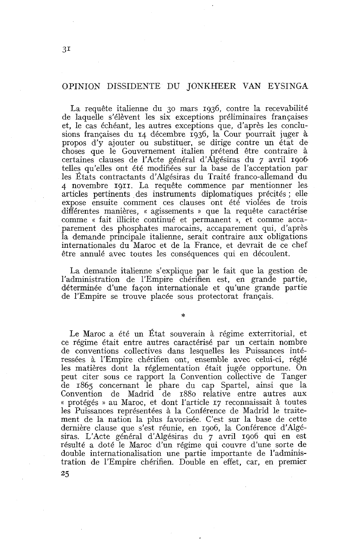### OPINION DISSIDENTE DU JONKHEER VAN EYSINGA

La requête italienne du 30 mars 1936, contre la recevabilité de laquelle s'élèvent les six exceptions préliminaires françaises et, le cas échéant, les autres exceptions que, d'après les conclusions françaises du 14 décembre 1936, la Cour pourrait juger à propos d'y ajouter ou substituer, se dirige contre un état de choses que le Gouvernement italien prétend être contraire à certaines clauses de l'Acte général d'Algésiras du 7 avril 1906. telle? qu'elles ont été modifiées sur la base de l'acceptation par les Etats contractants d'Algésiras du Traité franco-allemand du 4 novembre 1911. La requête commence par mentionner les articles pertinents des instruments diplomatiques précités ; elle expose ensuite comment ces clauses ont été violées de trois différentes manières, « agissements » que la requête caractérise comme « fait illicite continué et permanent », et comme accaparement des phosphates marocains, accaparement qui, d'après la demande principale italienne, serait contraire aux obligations internationales du Maroc et de la France, et devrait de ce chef être annulé avec toutes les conséquences qui en découlent.

La demande italienne s'explique par le fait que la gestion de l'administration de l'Empire chérifien est, en grande partie, déterminée d'une façon internationale et qu'une grande partie de l'Empire se trouve placée sous protectorat français.

Le Maroc a été un État souverain à régime exterritorial, et ce régime était entre autres caractérisé par un certain nombre de conventions collectives dans lesquelles les Puissances intéressées à l'Empire chérifien ont, ensemble avec celui-ci, réglé les matières dont la réglementation était jugée opportune. On peut citer sous ce rapport la Convention collective de Tanger de 1865 concernant le phare du cap Spartel, ainsi que la Convention de Madrid de 1880 relative entre autres aux (( protégés » au Maroc, et dont l'article 17 reconnaissait à toutes les Puissances représentées à la Conférence de Madrid le traitement de la nation la plus favorisée. C'est sur la base de cette dernière clause que s'est réunie, en 1906, la Conférence d'Algésiras. L'Acte général d'Algésiras du 7 avril 1906 qui en est résulté a doté le Maroc d'un régime qui couvre d'une sorte de double internationalisation une partie importante de l'administration de l'Empire chérifien. Double en effet, car, en premier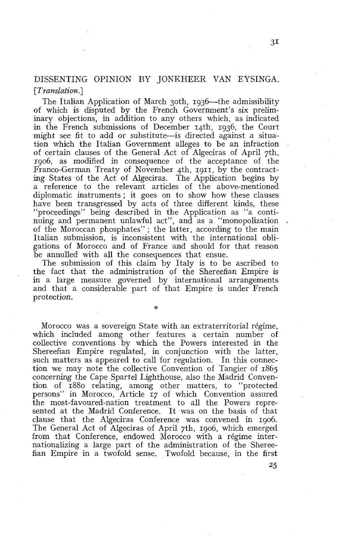# DISSENTING OPINION EY JOKKHEER VAN EYSINGA. *[Trnnslation.]*

The Italian Application of March 30th, 1936—the admissibility of which is disputed by the French Government's six preliminary objections, in addition to any others which, as indicated in the French submissions of December 14th, 1936, the Court might see fit to add or substitute-is directed against a situation which the Italian Government alleges to be an infraction of certain clauses of the General Act of Algeciras of April 7th, 1906, as modified in consequence of the acceptance of the Franco-German Treaty of November 4th, 1911, by the contracting States of the Act of Algeciras. The Application begins by a reference to the relevant articles of the above-mentioned diplomatic instruments ; it goes on to show how these clauses have been transgressed by acts of three different kinds, these "proceedings" being described in the Application as "a continuing and permanent unlawful act", and as a "monopolization . of the Moroccan phosphates" ; the latter, according to the main Italian submission, is inconsistent with the international obligations of Morocco and of France and should for that reason be annulled with al1 the consequences that ensue.

The submission of this claim by Italy is to be ascribed to the fact that the administration of the Shereefian Empire is in a large measure governed by international arrangements and that a considerable part of that Empire is under French protection.

\*

Morocco was a sovereign State with an extraterritorial régime, which included among other features a certain number of collective conventions by which the Powers interested in the Shereefian Empire regulated, in conjunction with the latter, such matters as appeared to call for regulation. In this connection we may note the collective Convention of Tangier of 1865 concerning the Cape Spartel Lighthouse, also the Madrid Convention of 1880 relating, among other matters, to "protected persons" in Morocco, Article 17 of which Convention assured the most-favoured-nation treatment to al1 the Powers represented at the Madrid Conference. It was on the basis of that clause that the Algeciras Conference was convened in 1906. The General Act of Algeciras of April 7th, 1906, which emerged from that Conference, endowed Morocco with a régime internationalizing a large part of the administration of the Shereefian Empire in a twofold sense. Twofold because, in the first

 $3I$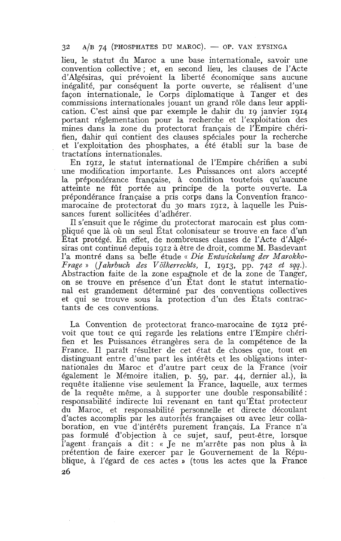lieu, le statut du Maroc a une base internationale, savoir une convention collective ; et, en second lieu, les clauses de l'Acte d'Algésiras, qui prévoient la liberté économique sans aucune inégalité, par conséquent la porte ouverte, se réalisent d'une façon internationale, le Corps diplomatique à Tanger et des commissions internationales jouant un grand rôle dans leur application. C'est ainsi que par exemple le dahir du 19 janvier 1914 portant réglementation pour la recherche et l'exploitation des mines dans la zone du protectorat français de l'Empire chérifien, dahir qui contient des clauses spéciales pour la recherche et l'exploitation des phosphates, a été établi sur la base de tractations internationales.

En 1912, le statut international de l'Empire chérifien a subi une modification importante. Les Puissances ont alors accepté la prépondérance française, à condition toutefois qu'aucune atteinte ne fût portée au principe de la porte ouverte. La prépondérance française a pris corps dans la Convention francomarocaine de protectorat du 30 mars 1912, à laquelle les Puissances furent sollicitées d'adhérer.

Il s'ensuit que le régime du protectorat marocain est plus compliqué que là où un seul Etat colonisateur se trouve en face d'un Etat protégé. En effet, de nombreuses clauses de l'Acte d'Algésiras ont continué depuis 1912 à être de droit, comme M. Basdevant l'a montré dans sa belle étude « *Die Entwickelung der Marokko-Frage* » *(Jahrbuch des Volkerrechts,* **1,** 1913, pp. 742 *et sqq.).*  Abstraction faite de la zone espagnole et de la zone de Tanger, on se trouve en présence d'un État dont le statut international est grandement déterminé par des conventions collectives et qui se trouve sous la protection d'un des Etats contractants de ces conventions.

La Convention de protectorat franco-marocaine de 1912 prévoit que tout ce qui regarde les relations entre l'Empire chérifien et les Puissances étrangères sera de la compétence de la France. Il paraît résulter de cet état de choses que, tout en distinguant entre d'une part les intérêts et les obligations internationales du Maroc et d'autre part ceux de la France (voir également le Mémoire italien, p. 59, par. 44, dernier al.), la requête italienne vise seulement la France, laquelle, aux termes de la requête même, a à supporter une double responsabilité: responsabilité indirecte lui revenant en tant qu'Etat protecteur du Maroc, et responsabilité personnelle et directe découlant d'actes accomplis par les autorités françaises ou avec leur collaboration, en vue d'intérêts purement français. La France n'a pas formulé d'objection à ce sujet, sauf, peut-être, lorsque l'agent français a dit : « Je ne m'arrête pas non plus à la prétention de faire exercer par le Gouvernement de la République, à l'égard de ces actes » (tous les actes que la France **26**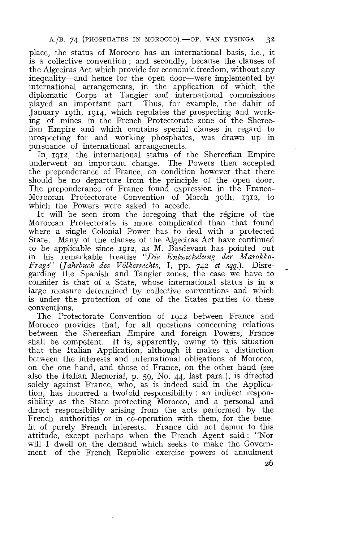### A./B. 74 (PHOSPHATES IN MOROCCO). OP. VAN EYSINGA 32

place, the status of Morocco has an international basis, i.e., it is a collective convention ; and secondly, because the clauses of the Algeciras Act which provide for economic freedom, without any inequality—and hence for the open door—were implemented by international arrangements, in the application of which the diplomatic Corps at Tangier and international commissions played an important part. Thus, for example, the dahir of January 19th, 1914, which regulates the prospecting and working of mines in the French Protectorate zone of the Shereefian Empire and which contains special clauses in regard to prospecting for and working phosphates, was drawn up in pursuance of international arrangements.

In, 1912, the international status of the Shereefian Empire underwent an important change. The Powers then accepted the preponderance of France, on condition however that there should be no departure from the principle of the open door. The preponderance of France found expression in the Franco-Moroccan Protectorate Convention of March 3oth, 1912, to which the Powers were asked to accede.

It will be seen from the foregoing that the régime of the Moroccan Protectorate is more complicated than that found where a single Colonial Power has to deal with a protected State. Many of the clauses of the Algeciras Act have continued to be applicable since 1912, as M. Basdevant has pointed out in his remarkable treatise "Die Entwickelung der Marokko-Frage" (Jahrbuch des Volkervechts, 1, pp. 742 et sqq.). Disregarding the Spanish and Tangier zones, the case we have to consider is that of a State, whose international status is in a large measure determined by collective conventions and which is under the protection of one of the States parties to these conventions.

The Protectorate Convention of 1912 between France and Morocco provides that, for al1 questions concerning relations between the Shereefian Empire and foreign Powers, France shall be competent. It is, apparently, owing to this situation that the Italian Application, although it makes a distinction between the interests and international obligations of Morocco, on the one hand, and those of France, on the other hand (see also the Italian Memorial, p. 59, No. 44, last para.), is directed solely against France, who, as is indeed said in the Application, has incurred a twofold responsibility : an indirect responsibility as the State protecting Morocco, and a personal and direct responsibility arising from the acts performed by the French authorities or in co-operation with them, for the benefit of purely French interests. France did not demur to this attitude, except perhaps when the French Agent said : "Nor will 1 dwell on the demand which seeks to make the Government of the French Republic exercise powers of annulment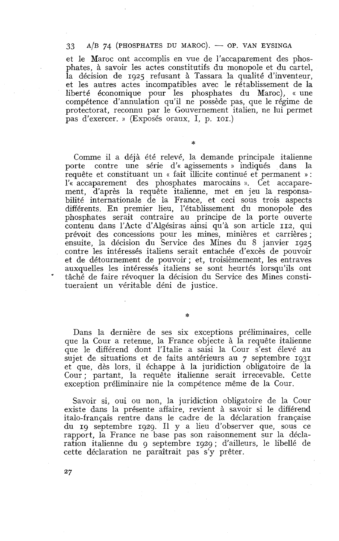et le Maroc ont accomplis en vue de l'accaparement des phosphates, à savoir les actes constitutifs du monopole et du cartel, la décision de 1925 refusant à Tassara la qualité d'inventeur, et les autres actes incompatibles avec le rétablissement de la liberté économique pour les phosphates du Maroc), « une compétence d'annulation qu'il ne possède pas, que le régime de protectorat, reconnu par le Gouvernement italien, ne lui permet pas d'exercer. » (Exposés oraux, 1, p. 101.)

Comme il a déjà été relevé, la demande principale italienne porte contre une série d'« agissements » indiqués dans la requête et constituant un « fait illicite continué et permanent » : 1'« accaparement des phosphates marocains ». Cet accaparement, d'après la requête italienne, met en jeu la responsabilité internationale de la France, et ceci sous trois aspects différents. En premier lieu, l'établissement du monopole des phosphates serait contraire au principe de la porte ouverte contenu dans l'Acte d'Algésiras ainsi qu'à son article 112, qui prévoit des concessions pour les mines, minières et carrières; ensuite, la décision du Service des Mines du 8 janvier 1925 contre les intéressés italiens serait entachée d'excès de pouvoir et de détournement de pouvoir; et, troisièmement, les entraves auxquelles les intéressés italiens se sont heurtés lorsqu'ils ont tâché de faire révoquer la décision du Service des Mines constitueraient un véritable déni de justice.

Dans la dernière de ses six exceptions préliminaires, celle que la Cour a retenue, la France objecte à la requête italienne que le différend dont l'Italie a saisi la Cour s'est élevé au sujet de situations et de faits antérieurs au 7 septembre 1931 et que, dès lors, il échappe à la juridiction obligatoire de la Cour; partant, la requête italienne serait irrecevable. Cette exception préliminaire nie la compétence même de la Cour.

Savoir si, oui ou non, la juridiction obligatoire de la Cour existe dans la présente affaire, revient à savoir si le différend italo-français rentre dans le cadre de la déclaration française du 19 septembre 1929. Il y a lieu d'observer que, sous ce rapport, la France ne base pas son raisonnement sur la déclaration italienne du g septembre 1929 ; d'ailleurs, le libellé de cette déclaration ne paraîtrait pas s'y prêter.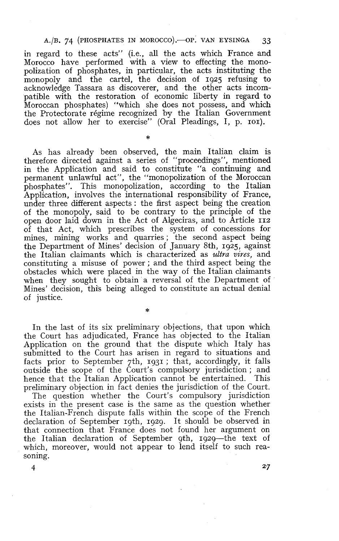# A./B. 74 (PHOSPHATES IN MOROCCO). OP. VAN EYSINGA 33

in regard to these acts" (i.e., al1 the acts which France and Morocco have performed with a view to effecting the monopolization of phosphates, in particular, the acts instituting the monopoly and the cartel, the decision of 1925 refusing to acknowledge Tassara as discoverer, and the other acts incompatible with the restoration of economic liberty in regard to Moroccan phosphates) "which she does not possess, and which the Protectorate régime recognized by the Italian Government does not allow her to exercise" (Oral Pleadings, 1, p. 101).

As has already been observed, the main Italian claim is therefore directed against a series of "proceedings", mentioned in the Application and said to constitute "a continuing and permanent unlawful act", the "monopolization of the Moroccan phosphates". This monopolization, according to the Italian Application, involves the international responsibility of France, under three different aspects : the first aspect being the creation of the monopoly, said to be contrary to the principle of the open door laid down in the Act of Algeciras, and to Article 112 of that Act, which prescribes the system of concessions for mines, mining works and quarries; the second aspect being the Department of Mines' decision of January 8th, 1925, against the Italian claimants which is characterized as *ultra vires*, and constituting a misuse of power ; and the third aspect being the obstacles which were placed in the way of the Italian claimants when they sought to obtain a reversal of the Department of Mines' decision, this being alleged to constitute an actual denial of justice.

In the last of its six preliminary objections, that upon which the Court has adjudicated, France has objected to the Italian Application on the ground that the dispute which Italy has submitted to the Court has arisen in regard to situations and facts prior to September 7th, 1931 ; that, accordingly, it falls outside the scope of the Court's compulsory jurisdiction ; and hence that the Italian Application cannot be entertained. This preliminary objection in fact denies the jurisdiction of the Court.

The question whether the Court's compulsory jurisdiction exists in the present case is the same as the question whether the Italian-French dispute falls within the scope of the French declaration of September 19th, 1929. It should be observed in that connection that France does not found her argument on the Italian declaration of September 9th, 1929—the text of which, moreover, would not appear to lend itself to such reasoning.

4 **2.7**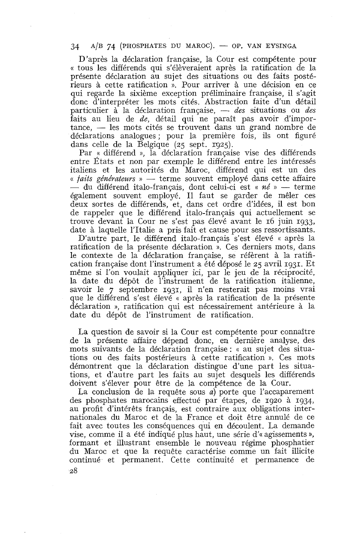D'après la déclaration française, la Cour est compétente pour « tous les différends qui s'élèveraient après la ratification de la présente déclaration au sujet des situations ou des faits postérieurs à cette ratification ». Pour arriver à une décision en ce qui regarde la sixième exception préliminaire française, il s'agit donc d'interpréter les mots cités. Abstraction faite d'un détail qui regarde la sixième exception préliminaire française, il s'agit<br>donc d'interpréter les mots cités. Abstraction faite d'un détail<br>particulier à la déclaration française, — *des* situations ou *des*<br>faits au lieu de *de* faits au lieu de *de,* détail qui ne paraît pas avoir d'imporparticulier à la déclaration française,  $-$  *des* situations ou *des*<br>faits au lieu de *de*, détail qui ne paraît pas avoir d'impor-<br>tance,  $-$  les mots cités se trouvent dans un grand nombre de<br>déclarations analogues : p déclarations analogues ; pour la première fois, ils ont figuré dans celle de la Belgique (25 sept. 1925).

Par « différend », la déclaration française vise des différends entre États et non par exemple le différend entre les intéressés<br> *(i)* taits *générateurs*  $\theta$  - terme souvent employé dans cette affaire<br>
- du différend italo-français, dont celui-ci est *« né*  $\theta$  - terme<br>
- de la mêl italiens et les autorités du Maroc, différend qui est un des<br>« *taits générateurs* » — terme souvent employé dans cette affaire également souvent employé. Il faut se garder de mêler ces deux sortes de différends, et, dans cet ordre d'idées, il est bon de rappeler que le différend italo-français qui actuellement se trouve devant la Cour ne s'est pas élevé avant le 16 juin 1933, date à laquelle l'Italie a pris fait et cause pour ses ressortissants.

D'autre part, le différend italo-français s'est élevé « après la ratification de la présente déclaration ». Ces derniers mots, dans le contexte de la déclaration française, se réfèrent à la ratification française dont l'instrument a été déposé le 25 avril 1931. Et même si l'on voulait appliquer ici, par le jeu de la réciprocité, la date du dépôt de l'instrument de la ratification italienne, savoir le 7 septembre 1931, il n'en resterait pas moins vrai que le différend s'est élevé « après la ratification de la présente déclaration », ratification qui est nécessairement antérieure à la date du dépôt de l'instrument de ratification.

La question de savoir si la Cour est compétente pour connaître de la présente affaire dépend donc, en dernière analyse, des mots suivants de la déclaration française : « au sujet des situations ou des faits postérieurs à cette ratification ». Ces mots démontrent que la déclaration distingue d'une part les situations, et d'autre part les faits au sujet desquels les différends doivent s'élever pour être de la compétence de la Cour.

La conclusion de la requête sous *a)* porte que l'accaparement des phosphates marocains effectué par étapes, de 1920 à 1934, au profit d'intérêts français, est contraire aux obligations internationales du Maroc et de la France et doit être annulé de ce fait avec toutes les conséquences qui en découlent. La demande vise, comme il a été indiqué plus haut, une série d'«agissements **u,**  formant et illustrant ensemble le nouveau régime phosphatier du Maroc et que la requête caractérise comme un fait illicite continué et permanent. Cette continuité et permanence de **28**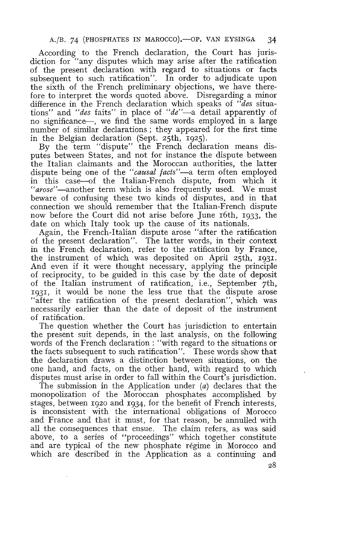### A./B. 74 (PHOSPHATES IN MAROCCO). OP. VAN EYSINGA 34

According to the French declaration, the Court has jurisdiction for "any disputes which may arise after the ratification of the present declaration with regard to situations or facts subsequent to such ratification". In order to adjudicate upon the sixth of the French preliminary objections, we have therefore to interpret the words quoted above. Disregarding a minor difference in the French declaration which speaks of "des situations" and "des faits" in place of "de"—a detail apparently of no significance-, we find the same words employed in a large number of similar declarations ; they appeared for the first time in the Belgian declaration (Sept. zgth, 1925).

By the term "dispute" the French declaration means disputes between States, and not for instance the dispute between the Italian claimants and the Moroccan authorities, the latter dispute being one of the "causal facts"-a term often employed in this case-of the Italian-French dispute, from which it "arase"-another term which is also frequently used. We must beware of confusing these two kinds of disputes, and in that connection we should remember that the Italian-French dispute now before the Court did not arise before June 16th, 1933, the date on which Italy took up the cause of its nationals.

Again, the French-Italian dispute arose "after the ratification of the present declaration". The latter words, in their context in the French declaration, refer to the ratification by France, the instrument of which was deposited on April 25th, 1931. And even if it were thought necessary, applying the principle of reciprocity, to be guided in this case by the date of deposit of the Italian instrument of ratification, i.e., September 7th, 1931, it would be none the less true that the dispute arose "after the ratification of the present declaration", which was necessarily earlier than the date of deposit of the instrument of ratification.

The question whether the Court has jurisdiction to entertain the present suit depends, in the last analysis, on the following words of the French declaration : "with regard to the situations or the facts subsequent to such ratification". These words show that the declaration draws a distinction between situations, on the one hand, and facts, on the other hand, with regard to which disputes must arise in order to fa11 within the Court's jurisdiction.

The submission in the Application under (a) declares that the monopolizatiori of the Moroccan phosphates accomplished by stages, between 1920 and 1934, for the benefit of French interests, is inconsistent with the international obligations of Morocco and France and that it must, for that reason, be annuiled with al1 the consequences that ensue. The claim refers, as was said above, to a series of "proceedings" which together constitute and are typical of the new phosphate régime in Morocco and which are described in the Application as a continuing and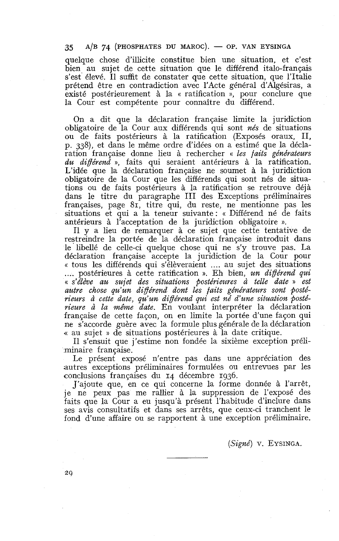quelque chose d'illicite constitue bien une situation, et c'est bien au sujet de cette situation que le différend italo-français s'est élevé. Il suffit de constater que cette situation, que l'Italie prétend être en contradiction avec l'Acte général d'Algésiras, a existé postérieurement à la « ratification », pour conclure que la Cour est compétente pour connaître du différend.

On a dit que la déclaration française limite la juridiction obligatoire de la Cour aux différends qui sont *nés* de situations ou de faits postérieurs à la ratification (Exposés oraux, II, p. **338),** et dans le même ordre d'idées on a estimé que la déclaration française donne lieu à rechercher « les faits générateurs *du différend* », faits qui seraient antérieurs à la ratification. L'idée que la déclaration française ne soumet à la juridiction obligatoire de la Cour que les différends qui sont nés de situations ou de faits postérieurs à la ratification se retrouve déjà dans le titre du paragraphe III des Exceptions préliminaires françaises, page **81,** titre qui, du reste, ne mentionne pas les situations et qui a la teneur suivante : « Différend né de faits antérieurs à l'acceptation de la juridiction obligatoire ».

Il y a lieu de remarquer à ce sujet que cette tentative de restreindre la portée de la déclaration française introduit dans le libellé de celle-ci quelque chose qui ne s'y trouve pas. La déclaration française accepte la juridiction de la Cour pour<br>« tous les différends qui s'élèveraient .... au sujet des situations .... postérieures à cette ratification ». Eh bien, *un différend qui* (( *s'élève au sujet des situations postériezfires* à *telle date* )) *est*  autre chose qu'un différend dont les faits générateurs sont postérieurs à cette date, qu'un différend qui est né d'une situation posté*rieure* à *la même date.* En voulant interpréter la déclaration française de cette façon, 011 en limite la portée d'une façon qui ne s'accorde guère avec la formule plus générale de la déclaration **a** au sujet )) de situations postérieures à la date critique.

Il s'ensuit que j'estime non fondée la sixième exception préliminaire française.

Le présent exposé n'entre pas dans une appréciation des autres exceptions préliminaires formulées ou entrevues par les conclusions françaises du **14.** décembre **1936.** 

J'ajoute que, en ce qui concerne la forme donnée à l'arrêt, je ne peux pas me rallier à la suppression de l'exposé des faits que la Cour a eu jusqu'à présent l'habitude d'inclure dans ses avis consultatifs et dans ses arrêts, que ceux-ci tranchent le fond d'une affaire ou se rapportent à une exception préliminaire.

*(Signé)* v. EYSINGA.

 $2Q$